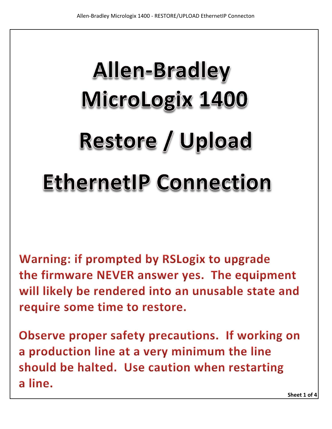## **Allen-Bradley** MicroLogix 1400 **Restore / Upload EthernetIP Connection**

Warning: if prompted by RSLogix to upgrade the firmware NEVER answer yes. The equipment will likely be rendered into an unusable state and require some time to restore.

Observe proper safety precautions. If working on a production line at a very minimum the line should be halted. Use caution when restarting a line.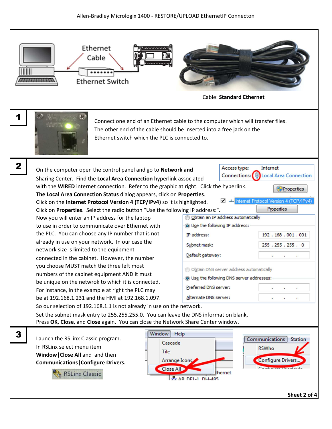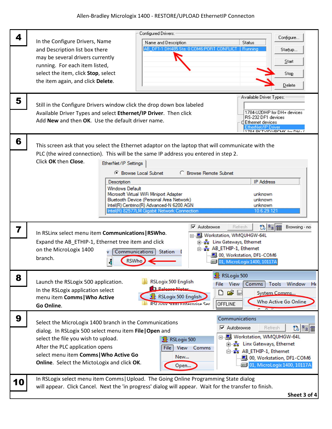| 4  |                                                                                                                                                                                                                                         |                                                                                   | Configured Drivers:                         |      |                             | Configure                                        |  |
|----|-----------------------------------------------------------------------------------------------------------------------------------------------------------------------------------------------------------------------------------------|-----------------------------------------------------------------------------------|---------------------------------------------|------|-----------------------------|--------------------------------------------------|--|
|    | In the Configure Drivers, Name                                                                                                                                                                                                          |                                                                                   | Name and Description                        |      | <b>Status</b>               |                                                  |  |
|    | and Description list box there                                                                                                                                                                                                          |                                                                                   | AB DF1-1 DH485 Sta: 0 COM6:PORT CONFLIC     |      | <b>Running</b>              | Startup                                          |  |
|    | may be several drivers currently                                                                                                                                                                                                        |                                                                                   |                                             |      |                             | Start                                            |  |
|    | running. For each item listed,<br>select the item, click Stop, select                                                                                                                                                                   |                                                                                   |                                             |      |                             | Stop                                             |  |
|    | the item again, and click Delete.                                                                                                                                                                                                       |                                                                                   |                                             |      |                             |                                                  |  |
|    |                                                                                                                                                                                                                                         |                                                                                   |                                             |      |                             | Delete                                           |  |
| 5  |                                                                                                                                                                                                                                         |                                                                                   |                                             |      | Available Driver Types:     |                                                  |  |
|    | Still in the Configure Drivers window click the drop down box labeled                                                                                                                                                                   |                                                                                   |                                             |      |                             |                                                  |  |
|    | Available Driver Types and select Ethernet/IP Driver. Then click                                                                                                                                                                        |                                                                                   |                                             |      |                             | 1784-U2DHP for DH+ devices<br>RS-232 DF1 devices |  |
|    | Add New and then OK. Use the default driver name.<br>⊡Ethernet devices                                                                                                                                                                  |                                                                                   |                                             |      |                             | EtherNet/IP Driver                               |  |
|    |                                                                                                                                                                                                                                         |                                                                                   |                                             |      |                             | 1704 DK TY(D) /DOMK for DULL                     |  |
| 6  |                                                                                                                                                                                                                                         |                                                                                   |                                             |      |                             |                                                  |  |
|    | This screen ask that you select the Ethernet adaptor on the laptop that will communicate with the<br>PLC (the wired connection). This will be the same IP address you entered in step 2.                                                |                                                                                   |                                             |      |                             |                                                  |  |
|    | Click OK then Close.<br>EtherNet/IP Settings                                                                                                                                                                                            |                                                                                   |                                             |      |                             |                                                  |  |
|    |                                                                                                                                                                                                                                         |                                                                                   |                                             |      |                             |                                                  |  |
|    | <sup>6</sup> Browse Local Subnet<br>C Browse Remote Subnet                                                                                                                                                                              |                                                                                   |                                             |      |                             |                                                  |  |
|    | <b>IP Address</b><br>Description<br><b>Windows Default</b>                                                                                                                                                                              |                                                                                   |                                             |      |                             |                                                  |  |
|    | Microsoft Virtual WiFi Miniport Adapter<br>unknown                                                                                                                                                                                      |                                                                                   |                                             |      |                             |                                                  |  |
|    | Bluetooth Device (Personal Area Network)<br>unknown<br>Intel(R) Centrino(R) Advanced-N 6200 AGN<br>unknown                                                                                                                              |                                                                                   |                                             |      |                             |                                                  |  |
|    |                                                                                                                                                                                                                                         |                                                                                   | Intel(R) 82577LM Gigabit Network Connection |      | 10.6.29.121                 |                                                  |  |
|    |                                                                                                                                                                                                                                         |                                                                                   |                                             |      |                             |                                                  |  |
| 7  | $\triangledown$ Autobrowse<br>to Pe TT<br>Browsing - no<br>Refresh<br>In RSLinx select menu item Communications   RSWho.                                                                                                                |                                                                                   |                                             |      |                             |                                                  |  |
|    | 日 Workstation, WMQUHGW-64L<br>B 28 Linx Gateways, Ethernet                                                                                                                                                                              |                                                                                   |                                             |      |                             |                                                  |  |
|    | Expand the AB_ETHIP-1, Ethernet tree item and click<br>습 옵 AB_ETHIP-1, Ethernet<br>on the MicroLogix 1400                                                                                                                               |                                                                                   |                                             |      |                             |                                                  |  |
|    | Communications Station<br>90, Workstation, DF1-COM6<br>branch.                                                                                                                                                                          |                                                                                   |                                             |      |                             |                                                  |  |
|    |                                                                                                                                                                                                                                         | RSWI                                                                              |                                             |      | 01, MicroLogix 1400, 10117A |                                                  |  |
| 8  |                                                                                                                                                                                                                                         |                                                                                   |                                             |      | RSLogix 500                 |                                                  |  |
|    | <b>RSLogix 500 English</b><br>Launch the RSLogix 500 application.<br>View<br>File<br>Comms<br>Tools<br>Window<br><b>Release-Notes</b><br>In the RSLogix application select<br>ĉ<br>D<br>ь<br>System Comms<br><b>RSLogix 500 English</b> |                                                                                   |                                             |      |                             |                                                  |  |
|    |                                                                                                                                                                                                                                         |                                                                                   |                                             |      |                             |                                                  |  |
|    | menu item Comms   Who Active                                                                                                                                                                                                            |                                                                                   | ÷.<br><b>RSI ogiv SUULLEnternrise Ser</b>   |      | <b>OFFLINE</b>              | <b>Who Active Go Online</b>                      |  |
|    | Go Online.                                                                                                                                                                                                                              |                                                                                   |                                             |      | $\sim$ $\sim$ $\sim$        |                                                  |  |
| 9  |                                                                                                                                                                                                                                         |                                                                                   |                                             |      | Communications              |                                                  |  |
|    | Select the MicroLogix 1400 branch in the Communications<br>$\overline{\mathbf{v}}$ Autobrowse<br>to <sup>B</sup> e iii<br>Refresh                                                                                                       |                                                                                   |                                             |      |                             |                                                  |  |
|    | dialog. In RSLogix 500 select menu item File   Open and<br>□ 图 Workstation, WMQUHGW-64L                                                                                                                                                 |                                                                                   |                                             |      |                             |                                                  |  |
|    | After the PLC application opens                                                                                                                                                                                                         | select the file you wish to upload.<br>RSLogix 500<br>E-B Linx Gateways, Ethernet |                                             |      |                             |                                                  |  |
|    | View<br>File<br>Comms<br><sub>E</sub> -B AB_ETHIP-1, Ethernet<br>select menu item Comms   Who Active Go                                                                                                                                 |                                                                                   |                                             |      |                             |                                                  |  |
|    | New<br>00, Workstation, DF1-COM6<br>Online. Select the MictoLogix and click OK.<br><b>axia</b> 01, MicroLogix 1400, 10117A                                                                                                              |                                                                                   |                                             |      |                             |                                                  |  |
|    |                                                                                                                                                                                                                                         |                                                                                   |                                             | Open |                             |                                                  |  |
|    | In RSLogix select menu item Comms   Upload. The Going Online Programming State dialog                                                                                                                                                   |                                                                                   |                                             |      |                             |                                                  |  |
| 10 | will appear. Click Cancel. Next the 'in progress' dialog will appear. Wait for the transfer to finish.                                                                                                                                  |                                                                                   |                                             |      |                             |                                                  |  |
|    |                                                                                                                                                                                                                                         |                                                                                   |                                             |      |                             |                                                  |  |